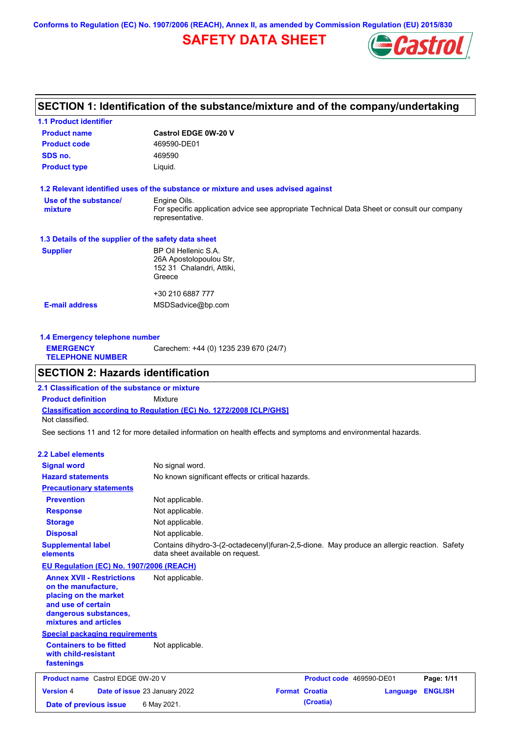**Conforms to Regulation (EC) No. 1907/2006 (REACH), Annex II, as amended by Commission Regulation (EU) 2015/830**

# **SAFETY DATA SHEET**



## **SECTION 1: Identification of the substance/mixture and of the company/undertaking**

| <b>1.1 Product identifier</b>                        |                                                                                                                |
|------------------------------------------------------|----------------------------------------------------------------------------------------------------------------|
| <b>Product name</b>                                  | <b>Castrol EDGE 0W-20 V</b>                                                                                    |
| <b>Product code</b>                                  | 469590-DE01                                                                                                    |
| SDS no.                                              | 469590                                                                                                         |
| <b>Product type</b>                                  | Liquid.                                                                                                        |
|                                                      | 1.2 Relevant identified uses of the substance or mixture and uses advised against                              |
| Use of the substance/                                | Engine Oils.                                                                                                   |
| mixture                                              | For specific application advice see appropriate Technical Data Sheet or consult our company<br>representative. |
| 1.3 Details of the supplier of the safety data sheet |                                                                                                                |
| <b>Supplier</b>                                      | BP Oil Hellenic S.A.                                                                                           |
|                                                      | 26A Apostolopoulou Str.                                                                                        |
|                                                      | 152 31 Chalandri, Attiki,                                                                                      |
|                                                      | Greece                                                                                                         |
|                                                      | +30 210 6887 777                                                                                               |
| <b>E-mail address</b>                                | MSDSadvice@bp.com                                                                                              |
|                                                      |                                                                                                                |
|                                                      |                                                                                                                |

| 1.4 Emergency telephone number              |                                       |  |  |
|---------------------------------------------|---------------------------------------|--|--|
| <b>EMERGENCY</b><br><b>TELEPHONE NUMBER</b> | Carechem: +44 (0) 1235 239 670 (24/7) |  |  |

## **SECTION 2: Hazards identification**

**Classification according to Regulation (EC) No. 1272/2008 [CLP/GHS] 2.1 Classification of the substance or mixture Product definition** Mixture Not classified.

See sections 11 and 12 for more detailed information on health effects and symptoms and environmental hazards.

#### **2.2 Label elements**

| <b>Signal word</b><br><b>Hazard statements</b>                                                                                                           | No signal word.<br>No known significant effects or critical hazards.                                                            |
|----------------------------------------------------------------------------------------------------------------------------------------------------------|---------------------------------------------------------------------------------------------------------------------------------|
| <b>Precautionary statements</b>                                                                                                                          |                                                                                                                                 |
| <b>Prevention</b>                                                                                                                                        | Not applicable.                                                                                                                 |
| <b>Response</b>                                                                                                                                          | Not applicable.                                                                                                                 |
| <b>Storage</b>                                                                                                                                           | Not applicable.                                                                                                                 |
| <b>Disposal</b>                                                                                                                                          | Not applicable.                                                                                                                 |
| <b>Supplemental label</b><br>elements                                                                                                                    | Contains dihydro-3-(2-octadecenyl)furan-2,5-dione. May produce an allergic reaction. Safety<br>data sheet available on request. |
| EU Regulation (EC) No. 1907/2006 (REACH)                                                                                                                 |                                                                                                                                 |
| <b>Annex XVII - Restrictions</b><br>on the manufacture,<br>placing on the market<br>and use of certain<br>dangerous substances,<br>mixtures and articles | Not applicable.                                                                                                                 |
| <b>Special packaging requirements</b>                                                                                                                    |                                                                                                                                 |
| <b>Containers to be fitted</b><br>with child-resistant<br>fastenings                                                                                     | Not applicable.                                                                                                                 |
| <b>Product name</b> Castrol EDGE 0W-20 V                                                                                                                 | Product code 469590-DE01<br>Page: 1/11                                                                                          |
| <b>Version 4</b>                                                                                                                                         | <b>Format Croatia</b><br><b>ENGLISH</b><br><b>Date of issue 23 January 2022</b><br>Language                                     |
| Date of previous issue                                                                                                                                   | (Croatia)<br>6 May 2021.                                                                                                        |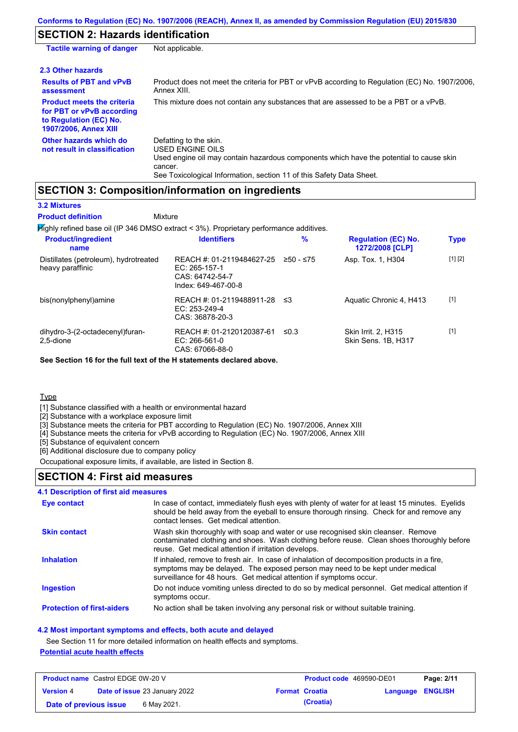# **SECTION 2: Hazards identification**

| <b>Tactile warning of danger</b>                                                                                         | Not applicable.                                                                                                                                                                                                                 |
|--------------------------------------------------------------------------------------------------------------------------|---------------------------------------------------------------------------------------------------------------------------------------------------------------------------------------------------------------------------------|
| 2.3 Other hazards                                                                                                        |                                                                                                                                                                                                                                 |
| <b>Results of PBT and vPvB</b><br>assessment                                                                             | Product does not meet the criteria for PBT or vPvB according to Regulation (EC) No. 1907/2006,<br>Annex XIII.                                                                                                                   |
| <b>Product meets the criteria</b><br>for PBT or vPvB according<br>to Regulation (EC) No.<br><b>1907/2006, Annex XIII</b> | This mixture does not contain any substances that are assessed to be a PBT or a vPvB.                                                                                                                                           |
| Other hazards which do<br>not result in classification                                                                   | Defatting to the skin.<br><b>USED ENGINE OILS</b><br>Used engine oil may contain hazardous components which have the potential to cause skin<br>cancer.<br>See Toxicological Information, section 11 of this Safety Data Sheet. |

### **SECTION 3: Composition/information on ingredients**

| <b>3.2 Mixtures</b> |  |  |  |
|---------------------|--|--|--|
|                     |  |  |  |

Highly refined base oil (IP 346 DMSO extract < 3%). Proprietary performance additives. **Mixture Product definition**

| <b>Product/ingredient</b><br>name                         | <b>Identifiers</b>                                                                     | $\%$      | <b>Regulation (EC) No.</b><br>1272/2008 [CLP] | <b>Type</b> |
|-----------------------------------------------------------|----------------------------------------------------------------------------------------|-----------|-----------------------------------------------|-------------|
| Distillates (petroleum), hydrotreated<br>heavy paraffinic | REACH #: 01-2119484627-25<br>EC: $265-157-1$<br>CAS: 64742-54-7<br>Index: 649-467-00-8 | ≥50 - ≤75 | Asp. Tox. 1, H304                             | [1] [2]     |
| bis(nonylphenyl)amine                                     | REACH #: 01-2119488911-28<br>$EC: 253-249-4$<br>CAS: 36878-20-3                        | ≤3        | Aquatic Chronic 4, H413                       | $[1]$       |
| dihydro-3-(2-octadecenyl)furan-<br>2.5-dione              | REACH #: 01-2120120387-61<br>$EC: 266-561-0$<br>CAS: 67066-88-0                        | ≤0.3      | Skin Irrit. 2, H315<br>Skin Sens. 1B, H317    | $[1]$       |

**See Section 16 for the full text of the H statements declared above.**

**Type** 

[1] Substance classified with a health or environmental hazard

[2] Substance with a workplace exposure limit

[3] Substance meets the criteria for PBT according to Regulation (EC) No. 1907/2006, Annex XIII

[4] Substance meets the criteria for vPvB according to Regulation (EC) No. 1907/2006, Annex XIII

[5] Substance of equivalent concern

[6] Additional disclosure due to company policy

Occupational exposure limits, if available, are listed in Section 8.

### **SECTION 4: First aid measures**

#### **4.1 Description of first aid measures**

| <b>Eye contact</b>                | In case of contact, immediately flush eyes with plenty of water for at least 15 minutes. Eyelids<br>should be held away from the eyeball to ensure thorough rinsing. Check for and remove any<br>contact lenses. Get medical attention.             |
|-----------------------------------|-----------------------------------------------------------------------------------------------------------------------------------------------------------------------------------------------------------------------------------------------------|
| <b>Skin contact</b>               | Wash skin thoroughly with soap and water or use recognised skin cleanser. Remove<br>contaminated clothing and shoes. Wash clothing before reuse. Clean shoes thoroughly before<br>reuse. Get medical attention if irritation develops.              |
| <b>Inhalation</b>                 | If inhaled, remove to fresh air. In case of inhalation of decomposition products in a fire,<br>symptoms may be delayed. The exposed person may need to be kept under medical<br>surveillance for 48 hours. Get medical attention if symptoms occur. |
| <b>Ingestion</b>                  | Do not induce vomiting unless directed to do so by medical personnel. Get medical attention if<br>symptoms occur.                                                                                                                                   |
| <b>Protection of first-aiders</b> | No action shall be taken involving any personal risk or without suitable training.                                                                                                                                                                  |

#### **4.2 Most important symptoms and effects, both acute and delayed**

See Section 11 for more detailed information on health effects and symptoms.

#### **Potential acute health effects**

| <b>Product name</b> Castrol EDGE 0W-20 V |  |                                      | <b>Product code</b> 469590-DE01 |                       | Page: 2/11       |  |
|------------------------------------------|--|--------------------------------------|---------------------------------|-----------------------|------------------|--|
| <b>Version 4</b>                         |  | <b>Date of issue 23 January 2022</b> |                                 | <b>Format Croatia</b> | Language ENGLISH |  |
| Date of previous issue                   |  | 6 May 2021.                          |                                 | (Croatia)             |                  |  |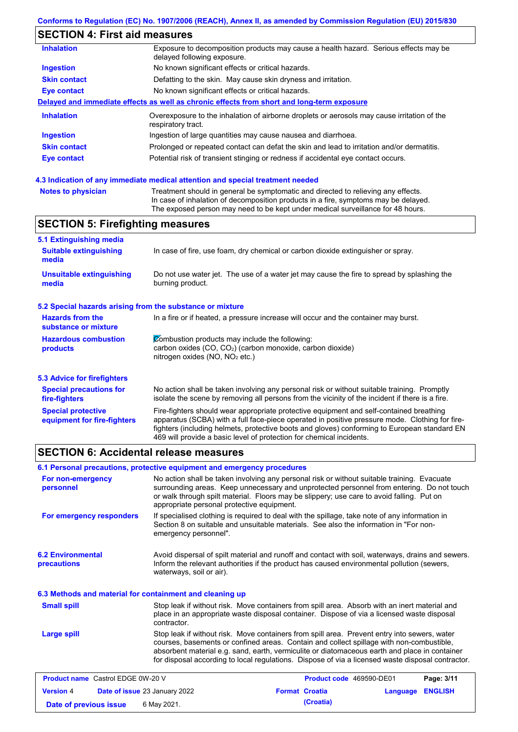# **SECTION 4: First aid measures**

| <b>Inhalation</b>   | Exposure to decomposition products may cause a health hazard. Serious effects may be<br>delayed following exposure. |
|---------------------|---------------------------------------------------------------------------------------------------------------------|
| <b>Ingestion</b>    | No known significant effects or critical hazards.                                                                   |
| <b>Skin contact</b> | Defatting to the skin. May cause skin dryness and irritation.                                                       |
| Eye contact         | No known significant effects or critical hazards.                                                                   |
|                     | Delayed and immediate effects as well as chronic effects from short and long-term exposure                          |
| <b>Inhalation</b>   | Overexposure to the inhalation of airborne droplets or aerosols may cause irritation of the<br>respiratory tract.   |
| <b>Ingestion</b>    | Ingestion of large quantities may cause nausea and diarrhoea.                                                       |
| <b>Skin contact</b> | Prolonged or repeated contact can defat the skin and lead to irritation and/or dermatitis.                          |
| Eye contact         | Potential risk of transient stinging or redness if accidental eye contact occurs.                                   |
|                     |                                                                                                                     |

#### **4.3 Indication of any immediate medical attention and special treatment needed**

| <b>Notes to physician</b> | Treatment should in general be symptomatic and directed to relieving any effects.   |
|---------------------------|-------------------------------------------------------------------------------------|
|                           | In case of inhalation of decomposition products in a fire, symptoms may be delayed. |
|                           | The exposed person may need to be kept under medical surveillance for 48 hours.     |

## **SECTION 5: Firefighting measures**

| 5.1 Extinguishing media                                                                                                                                                                                                                                                                                                                                                                                                       |                                                                                                                                                                                                |  |  |
|-------------------------------------------------------------------------------------------------------------------------------------------------------------------------------------------------------------------------------------------------------------------------------------------------------------------------------------------------------------------------------------------------------------------------------|------------------------------------------------------------------------------------------------------------------------------------------------------------------------------------------------|--|--|
| <b>Suitable extinguishing</b><br>media                                                                                                                                                                                                                                                                                                                                                                                        | In case of fire, use foam, dry chemical or carbon dioxide extinguisher or spray.                                                                                                               |  |  |
| <b>Unsuitable extinguishing</b><br>media                                                                                                                                                                                                                                                                                                                                                                                      | Do not use water jet. The use of a water jet may cause the fire to spread by splashing the<br>burning product.                                                                                 |  |  |
| 5.2 Special hazards arising from the substance or mixture                                                                                                                                                                                                                                                                                                                                                                     |                                                                                                                                                                                                |  |  |
| <b>Hazards from the</b><br>substance or mixture                                                                                                                                                                                                                                                                                                                                                                               | In a fire or if heated, a pressure increase will occur and the container may burst.                                                                                                            |  |  |
| <b>Hazardous combustion</b><br>products                                                                                                                                                                                                                                                                                                                                                                                       | Combustion products may include the following:<br>carbon oxides $(CO, CO2)$ (carbon monoxide, carbon dioxide)<br>nitrogen oxides ( $NO$ , $NO2$ etc.)                                          |  |  |
| 5.3 Advice for firefighters                                                                                                                                                                                                                                                                                                                                                                                                   |                                                                                                                                                                                                |  |  |
| <b>Special precautions for</b><br>fire-fighters                                                                                                                                                                                                                                                                                                                                                                               | No action shall be taken involving any personal risk or without suitable training. Promptly<br>isolate the scene by removing all persons from the vicinity of the incident if there is a fire. |  |  |
| Fire-fighters should wear appropriate protective equipment and self-contained breathing<br><b>Special protective</b><br>apparatus (SCBA) with a full face-piece operated in positive pressure mode. Clothing for fire-<br>equipment for fire-fighters<br>fighters (including helmets, protective boots and gloves) conforming to European standard EN<br>469 will provide a basic level of protection for chemical incidents. |                                                                                                                                                                                                |  |  |

### **SECTION 6: Accidental release measures**

|                                                                                                                                                                                                                                                                                                                                                                                                                      | 6.1 Personal precautions, protective equipment and emergency procedures                                                                                                                                                                                                                                                             |                                                                                                                                                                                         |            |  |
|----------------------------------------------------------------------------------------------------------------------------------------------------------------------------------------------------------------------------------------------------------------------------------------------------------------------------------------------------------------------------------------------------------------------|-------------------------------------------------------------------------------------------------------------------------------------------------------------------------------------------------------------------------------------------------------------------------------------------------------------------------------------|-----------------------------------------------------------------------------------------------------------------------------------------------------------------------------------------|------------|--|
| For non-emergency<br>personnel                                                                                                                                                                                                                                                                                                                                                                                       | No action shall be taken involving any personal risk or without suitable training. Evacuate<br>surrounding areas. Keep unnecessary and unprotected personnel from entering. Do not touch<br>or walk through spilt material. Floors may be slippery; use care to avoid falling. Put on<br>appropriate personal protective equipment. |                                                                                                                                                                                         |            |  |
| For emergency responders                                                                                                                                                                                                                                                                                                                                                                                             | emergency personnel".                                                                                                                                                                                                                                                                                                               | If specialised clothing is required to deal with the spillage, take note of any information in<br>Section 8 on suitable and unsuitable materials. See also the information in "For non- |            |  |
| <b>6.2 Environmental</b><br>precautions                                                                                                                                                                                                                                                                                                                                                                              | Avoid dispersal of spilt material and runoff and contact with soil, waterways, drains and sewers.<br>Inform the relevant authorities if the product has caused environmental pollution (sewers,<br>waterways, soil or air).                                                                                                         |                                                                                                                                                                                         |            |  |
| 6.3 Methods and material for containment and cleaning up                                                                                                                                                                                                                                                                                                                                                             |                                                                                                                                                                                                                                                                                                                                     |                                                                                                                                                                                         |            |  |
| Stop leak if without risk. Move containers from spill area. Absorb with an inert material and<br><b>Small spill</b><br>place in an appropriate waste disposal container. Dispose of via a licensed waste disposal<br>contractor.                                                                                                                                                                                     |                                                                                                                                                                                                                                                                                                                                     |                                                                                                                                                                                         |            |  |
| Stop leak if without risk. Move containers from spill area. Prevent entry into sewers, water<br><b>Large spill</b><br>courses, basements or confined areas. Contain and collect spillage with non-combustible,<br>absorbent material e.g. sand, earth, vermiculite or diatomaceous earth and place in container<br>for disposal according to local regulations. Dispose of via a licensed waste disposal contractor. |                                                                                                                                                                                                                                                                                                                                     |                                                                                                                                                                                         |            |  |
| <b>Product name</b> Castrol EDGE 0W-20 V                                                                                                                                                                                                                                                                                                                                                                             |                                                                                                                                                                                                                                                                                                                                     | Product code 469590-DE01                                                                                                                                                                | Page: 3/11 |  |

| <b>Version 4</b>       | <b>Date of issue 23 January 2022</b> | <b>Format Croatia</b> | <b>Language ENGLISH</b> |  |
|------------------------|--------------------------------------|-----------------------|-------------------------|--|
| Date of previous issue | 6 May 2021.                          | (Croatia)             |                         |  |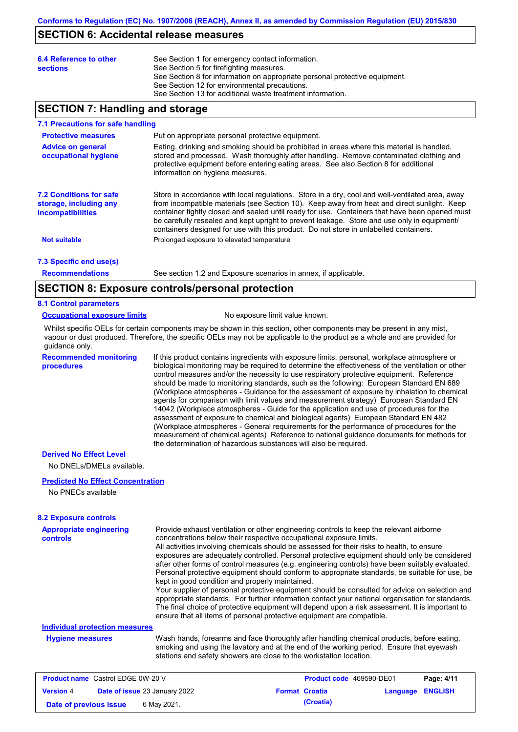### **SECTION 6: Accidental release measures**

| See Section 5 for firefighting measures.<br><b>sections</b><br>See Section 8 for information on appropriate personal protective equipment.<br>See Section 12 for environmental precautions.<br>See Section 13 for additional waste treatment information. | See Section 1 for emergency contact information. |
|-----------------------------------------------------------------------------------------------------------------------------------------------------------------------------------------------------------------------------------------------------------|--------------------------------------------------|
|-----------------------------------------------------------------------------------------------------------------------------------------------------------------------------------------------------------------------------------------------------------|--------------------------------------------------|

## **SECTION 7: Handling and storage**

#### **7.1 Precautions for safe handling**

| <b>Protective measures</b>                                                           | Put on appropriate personal protective equipment.                                                                                                                                                                                                                                                                                                                                                                                                                                        |
|--------------------------------------------------------------------------------------|------------------------------------------------------------------------------------------------------------------------------------------------------------------------------------------------------------------------------------------------------------------------------------------------------------------------------------------------------------------------------------------------------------------------------------------------------------------------------------------|
| <b>Advice on general</b><br>occupational hygiene                                     | Eating, drinking and smoking should be prohibited in areas where this material is handled,<br>stored and processed. Wash thoroughly after handling. Remove contaminated clothing and<br>protective equipment before entering eating areas. See also Section 8 for additional<br>information on hygiene measures.                                                                                                                                                                         |
| <b>7.2 Conditions for safe</b><br>storage, including any<br><b>incompatibilities</b> | Store in accordance with local regulations. Store in a dry, cool and well-ventilated area, away<br>from incompatible materials (see Section 10). Keep away from heat and direct sunlight. Keep<br>container tightly closed and sealed until ready for use. Containers that have been opened must<br>be carefully resealed and kept upright to prevent leakage. Store and use only in equipment/<br>containers designed for use with this product. Do not store in unlabelled containers. |
| <b>Not suitable</b>                                                                  | Prolonged exposure to elevated temperature                                                                                                                                                                                                                                                                                                                                                                                                                                               |
| 7.3 Specific end use(s)                                                              |                                                                                                                                                                                                                                                                                                                                                                                                                                                                                          |

**Recommendations**

See section 1.2 and Exposure scenarios in annex, if applicable.

### **SECTION 8: Exposure controls/personal protection**

#### **8.1 Control parameters**

#### **Occupational exposure limits** No exposure limit value known.

Whilst specific OELs for certain components may be shown in this section, other components may be present in any mist, vapour or dust produced. Therefore, the specific OELs may not be applicable to the product as a whole and are provided for guidance only.

**Recommended monitoring procedures** If this product contains ingredients with exposure limits, personal, workplace atmosphere or biological monitoring may be required to determine the effectiveness of the ventilation or other control measures and/or the necessity to use respiratory protective equipment. Reference should be made to monitoring standards, such as the following: European Standard EN 689 (Workplace atmospheres - Guidance for the assessment of exposure by inhalation to chemical agents for comparison with limit values and measurement strategy) European Standard EN 14042 (Workplace atmospheres - Guide for the application and use of procedures for the assessment of exposure to chemical and biological agents) European Standard EN 482 (Workplace atmospheres - General requirements for the performance of procedures for the measurement of chemical agents) Reference to national guidance documents for methods for the determination of hazardous substances will also be required.

#### **Derived No Effect Level**

No DNELs/DMELs available.

#### **Predicted No Effect Concentration**

No PNECs available

#### **8.2 Exposure controls**

| <b>Appropriate engineering</b><br><b>controls</b> | Provide exhaust ventilation or other engineering controls to keep the relevant airborne<br>concentrations below their respective occupational exposure limits.<br>All activities involving chemicals should be assessed for their risks to health, to ensure<br>exposures are adequately controlled. Personal protective equipment should only be considered<br>after other forms of control measures (e.g. engineering controls) have been suitably evaluated.<br>Personal protective equipment should conform to appropriate standards, be suitable for use, be<br>kept in good condition and properly maintained.<br>Your supplier of personal protective equipment should be consulted for advice on selection and<br>appropriate standards. For further information contact your national organisation for standards.<br>The final choice of protective equipment will depend upon a risk assessment. It is important to<br>ensure that all items of personal protective equipment are compatible. |                                 |            |
|---------------------------------------------------|---------------------------------------------------------------------------------------------------------------------------------------------------------------------------------------------------------------------------------------------------------------------------------------------------------------------------------------------------------------------------------------------------------------------------------------------------------------------------------------------------------------------------------------------------------------------------------------------------------------------------------------------------------------------------------------------------------------------------------------------------------------------------------------------------------------------------------------------------------------------------------------------------------------------------------------------------------------------------------------------------------|---------------------------------|------------|
| <b>Individual protection measures</b>             |                                                                                                                                                                                                                                                                                                                                                                                                                                                                                                                                                                                                                                                                                                                                                                                                                                                                                                                                                                                                         |                                 |            |
| <b>Hygiene measures</b>                           | Wash hands, forearms and face thoroughly after handling chemical products, before eating,<br>smoking and using the lavatory and at the end of the working period. Ensure that eyewash<br>stations and safety showers are close to the workstation location.                                                                                                                                                                                                                                                                                                                                                                                                                                                                                                                                                                                                                                                                                                                                             |                                 |            |
| <b>Product name</b> Castrol EDGE 0W-20 V          |                                                                                                                                                                                                                                                                                                                                                                                                                                                                                                                                                                                                                                                                                                                                                                                                                                                                                                                                                                                                         | <b>Product code</b> 469590-DE01 | Page: 4/11 |

|                        |                                      |                       |           |                  | . |
|------------------------|--------------------------------------|-----------------------|-----------|------------------|---|
| <b>Version 4</b>       | <b>Date of issue 23 January 2022</b> | <b>Format Croatia</b> |           | Language ENGLISH |   |
| Date of previous issue | 6 May 2021.                          |                       | (Croatia) |                  |   |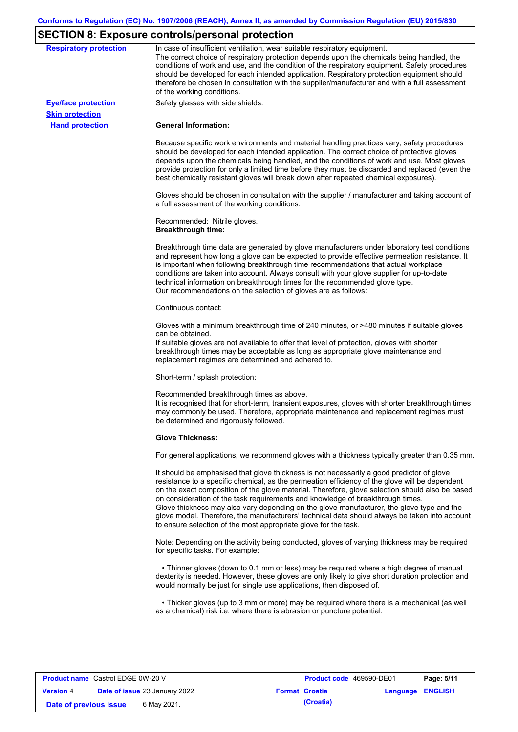# **SECTION 8: Exposure controls/personal protection**

| <b>Respiratory protection</b>                        | In case of insufficient ventilation, wear suitable respiratory equipment.<br>The correct choice of respiratory protection depends upon the chemicals being handled, the<br>conditions of work and use, and the condition of the respiratory equipment. Safety procedures<br>should be developed for each intended application. Respiratory protection equipment should<br>therefore be chosen in consultation with the supplier/manufacturer and with a full assessment<br>of the working conditions.                                                                                                                                             |
|------------------------------------------------------|---------------------------------------------------------------------------------------------------------------------------------------------------------------------------------------------------------------------------------------------------------------------------------------------------------------------------------------------------------------------------------------------------------------------------------------------------------------------------------------------------------------------------------------------------------------------------------------------------------------------------------------------------|
| <b>Eye/face protection</b><br><b>Skin protection</b> | Safety glasses with side shields.                                                                                                                                                                                                                                                                                                                                                                                                                                                                                                                                                                                                                 |
| <b>Hand protection</b>                               | <b>General Information:</b>                                                                                                                                                                                                                                                                                                                                                                                                                                                                                                                                                                                                                       |
|                                                      | Because specific work environments and material handling practices vary, safety procedures<br>should be developed for each intended application. The correct choice of protective gloves<br>depends upon the chemicals being handled, and the conditions of work and use. Most gloves<br>provide protection for only a limited time before they must be discarded and replaced (even the<br>best chemically resistant gloves will break down after repeated chemical exposures).                                                                                                                                                                  |
|                                                      | Gloves should be chosen in consultation with the supplier / manufacturer and taking account of<br>a full assessment of the working conditions.                                                                                                                                                                                                                                                                                                                                                                                                                                                                                                    |
|                                                      | Recommended: Nitrile gloves.<br><b>Breakthrough time:</b>                                                                                                                                                                                                                                                                                                                                                                                                                                                                                                                                                                                         |
|                                                      | Breakthrough time data are generated by glove manufacturers under laboratory test conditions<br>and represent how long a glove can be expected to provide effective permeation resistance. It<br>is important when following breakthrough time recommendations that actual workplace<br>conditions are taken into account. Always consult with your glove supplier for up-to-date<br>technical information on breakthrough times for the recommended glove type.<br>Our recommendations on the selection of gloves are as follows:                                                                                                                |
|                                                      | Continuous contact:                                                                                                                                                                                                                                                                                                                                                                                                                                                                                                                                                                                                                               |
|                                                      | Gloves with a minimum breakthrough time of 240 minutes, or >480 minutes if suitable gloves<br>can be obtained.<br>If suitable gloves are not available to offer that level of protection, gloves with shorter<br>breakthrough times may be acceptable as long as appropriate glove maintenance and<br>replacement regimes are determined and adhered to.                                                                                                                                                                                                                                                                                          |
|                                                      | Short-term / splash protection:                                                                                                                                                                                                                                                                                                                                                                                                                                                                                                                                                                                                                   |
|                                                      | Recommended breakthrough times as above.<br>It is recognised that for short-term, transient exposures, gloves with shorter breakthrough times<br>may commonly be used. Therefore, appropriate maintenance and replacement regimes must<br>be determined and rigorously followed.                                                                                                                                                                                                                                                                                                                                                                  |
|                                                      | <b>Glove Thickness:</b>                                                                                                                                                                                                                                                                                                                                                                                                                                                                                                                                                                                                                           |
|                                                      | For general applications, we recommend gloves with a thickness typically greater than 0.35 mm.                                                                                                                                                                                                                                                                                                                                                                                                                                                                                                                                                    |
|                                                      | It should be emphasised that glove thickness is not necessarily a good predictor of glove<br>resistance to a specific chemical, as the permeation efficiency of the glove will be dependent<br>on the exact composition of the glove material. Therefore, glove selection should also be based<br>on consideration of the task requirements and knowledge of breakthrough times.<br>Glove thickness may also vary depending on the glove manufacturer, the glove type and the<br>glove model. Therefore, the manufacturers' technical data should always be taken into account<br>to ensure selection of the most appropriate glove for the task. |
|                                                      | Note: Depending on the activity being conducted, gloves of varying thickness may be required<br>for specific tasks. For example:                                                                                                                                                                                                                                                                                                                                                                                                                                                                                                                  |
|                                                      | • Thinner gloves (down to 0.1 mm or less) may be required where a high degree of manual<br>dexterity is needed. However, these gloves are only likely to give short duration protection and<br>would normally be just for single use applications, then disposed of.                                                                                                                                                                                                                                                                                                                                                                              |
|                                                      | • Thicker gloves (up to 3 mm or more) may be required where there is a mechanical (as well<br>as a chemical) risk i.e. where there is abrasion or puncture potential.                                                                                                                                                                                                                                                                                                                                                                                                                                                                             |
|                                                      |                                                                                                                                                                                                                                                                                                                                                                                                                                                                                                                                                                                                                                                   |

| <b>Product name</b> Castrol EDGE 0W-20 V |                                      | <b>Product code</b> 469590-DE01 |                  | Page: 5/11 |
|------------------------------------------|--------------------------------------|---------------------------------|------------------|------------|
| <b>Version 4</b>                         | <b>Date of issue 23 January 2022</b> | <b>Format Croatia</b>           | Language ENGLISH |            |
| Date of previous issue                   | 6 May 2021.                          | (Croatia)                       |                  |            |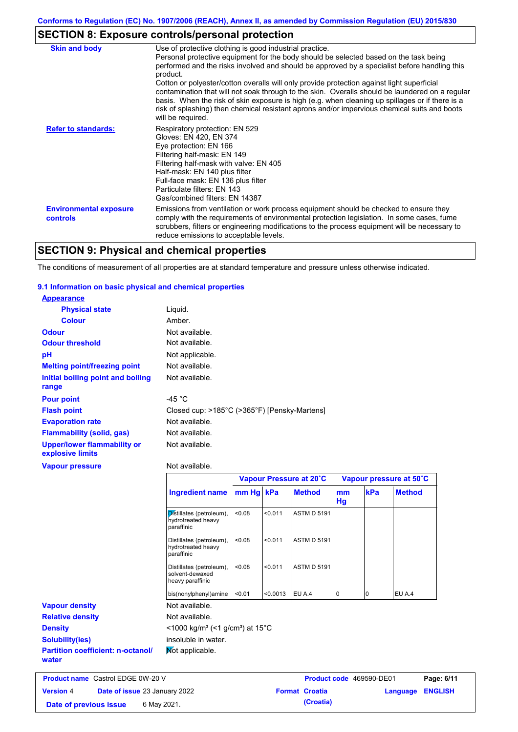# **SECTION 8: Exposure controls/personal protection**

| <b>Skin and body</b>                             | Use of protective clothing is good industrial practice.<br>Personal protective equipment for the body should be selected based on the task being<br>performed and the risks involved and should be approved by a specialist before handling this<br>product.<br>Cotton or polyester/cotton overalls will only provide protection against light superficial<br>contamination that will not soak through to the skin. Overalls should be laundered on a regular<br>basis. When the risk of skin exposure is high (e.g. when cleaning up spillages or if there is a<br>risk of splashing) then chemical resistant aprons and/or impervious chemical suits and boots<br>will be required. |
|--------------------------------------------------|---------------------------------------------------------------------------------------------------------------------------------------------------------------------------------------------------------------------------------------------------------------------------------------------------------------------------------------------------------------------------------------------------------------------------------------------------------------------------------------------------------------------------------------------------------------------------------------------------------------------------------------------------------------------------------------|
| <b>Refer to standards:</b>                       | Respiratory protection: EN 529<br>Gloves: EN 420, EN 374<br>Eye protection: EN 166<br>Filtering half-mask: EN 149<br>Filtering half-mask with valve: EN 405<br>Half-mask: EN 140 plus filter<br>Full-face mask: EN 136 plus filter<br>Particulate filters: EN 143<br>Gas/combined filters: EN 14387                                                                                                                                                                                                                                                                                                                                                                                   |
| <b>Environmental exposure</b><br><b>controls</b> | Emissions from ventilation or work process equipment should be checked to ensure they<br>comply with the requirements of environmental protection legislation. In some cases, fume<br>scrubbers, filters or engineering modifications to the process equipment will be necessary to<br>reduce emissions to acceptable levels.                                                                                                                                                                                                                                                                                                                                                         |

# **SECTION 9: Physical and chemical properties**

The conditions of measurement of all properties are at standard temperature and pressure unless otherwise indicated.

#### **9.1 Information on basic physical and chemical properties**

| <b>Appearance</b>                                      |                                              |
|--------------------------------------------------------|----------------------------------------------|
| <b>Physical state</b>                                  | Liquid.                                      |
| <b>Colour</b>                                          | Amber.                                       |
| <b>Odour</b>                                           | Not available.                               |
| <b>Odour threshold</b>                                 | Not available.                               |
| pH                                                     | Not applicable.                              |
| <b>Melting point/freezing point</b>                    | Not available.                               |
| Initial boiling point and boiling<br>range             | Not available.                               |
| <b>Pour point</b>                                      | -45 °C                                       |
| <b>Flash point</b>                                     | Closed cup: >185°C (>365°F) [Pensky-Martens] |
| <b>Evaporation rate</b>                                | Not available.                               |
| <b>Flammability (solid, gas)</b>                       | Not available.                               |
| <b>Upper/lower flammability or</b><br>explosive limits | Not available.                               |
| <b>Vapour pressure</b>                                 | Not available.                               |
|                                                        | Vapour Pressure at 20°C                      |
|                                                        |                                              |

|                                                   |                                                                         | Vapour Pressure at 20°C |          |                                 | Vapour pressure at 50°C |     |               |
|---------------------------------------------------|-------------------------------------------------------------------------|-------------------------|----------|---------------------------------|-------------------------|-----|---------------|
|                                                   | Ingredient name                                                         | mm Hg kPa               |          | <b>Method</b>                   | mm<br>Hg                | kPa | <b>Method</b> |
|                                                   | Distillates (petroleum),<br>hydrotreated heavy<br>paraffinic            | < 0.08                  | < 0.011  | <b>ASTM D 5191</b>              |                         |     |               |
|                                                   | Distillates (petroleum),<br>hydrotreated heavy<br>paraffinic            | < 0.08                  | < 0.011  | <b>ASTM D 5191</b>              |                         |     |               |
|                                                   | Distillates (petroleum),<br>solvent-dewaxed<br>heavy paraffinic         | < 0.08                  | < 0.011  | <b>ASTM D 5191</b>              |                         |     |               |
|                                                   | bis(nonylphenyl)amine                                                   | < 0.01                  | < 0.0013 | EU A.4                          | 0                       | 10  | EU A.4        |
| <b>Vapour density</b>                             | Not available.                                                          |                         |          |                                 |                         |     |               |
| <b>Relative density</b>                           | Not available.                                                          |                         |          |                                 |                         |     |               |
| <b>Density</b>                                    | $<$ 1000 kg/m <sup>3</sup> (<1 g/cm <sup>3</sup> ) at 15 <sup>°</sup> C |                         |          |                                 |                         |     |               |
| <b>Solubility(ies)</b>                            | insoluble in water.                                                     |                         |          |                                 |                         |     |               |
| <b>Partition coefficient: n-octanol/</b><br>water | Mot applicable.                                                         |                         |          |                                 |                         |     |               |
| <b>Product name Castrol EDGE 0W-20 V</b>          |                                                                         |                         |          | <b>Product code</b> 469590-DE01 |                         |     | $P$ ane: 6/11 |

| <b>Product name</b> Castrol EDGE 0W-20 V |                                      | Product code 469590-DE01 |                         | Page: 6/11 |
|------------------------------------------|--------------------------------------|--------------------------|-------------------------|------------|
| <b>Version 4</b>                         | <b>Date of issue 23 January 2022</b> | <b>Format Croatia</b>    | <b>Language ENGLISH</b> |            |
| Date of previous issue                   | 6 May 2021.                          | (Croatia)                |                         |            |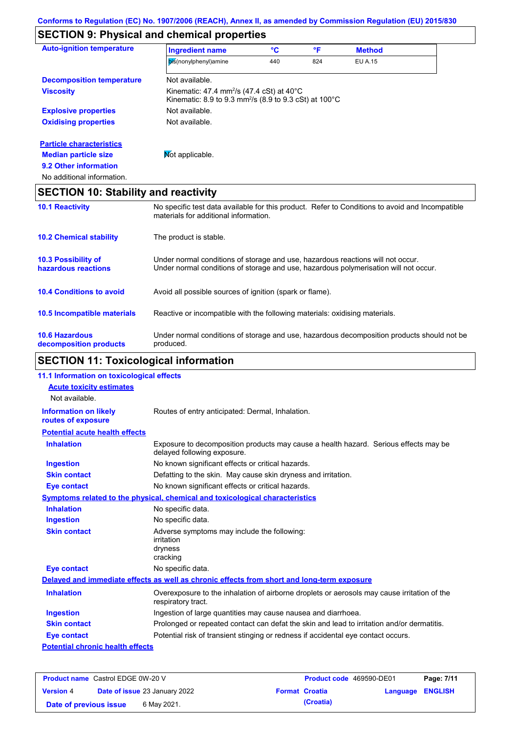## **SECTION 9: Physical and chemical properties**

| <b>Auto-ignition temperature</b>                | <b>Ingredient name</b>                                                                                                                                                  | °C  | °F  | <b>Method</b>  |  |
|-------------------------------------------------|-------------------------------------------------------------------------------------------------------------------------------------------------------------------------|-----|-----|----------------|--|
|                                                 | bis(nonylphenyl)amine                                                                                                                                                   | 440 | 824 | <b>EU A.15</b> |  |
| <b>Decomposition temperature</b>                | Not available.                                                                                                                                                          |     |     |                |  |
| <b>Viscosity</b>                                | Kinematic: 47.4 mm <sup>2</sup> /s (47.4 cSt) at 40 $\degree$ C<br>Kinematic: 8.9 to 9.3 mm <sup>2</sup> /s (8.9 to 9.3 cSt) at 100 $^{\circ}$ C                        |     |     |                |  |
| <b>Explosive properties</b>                     | Not available.                                                                                                                                                          |     |     |                |  |
| <b>Oxidising properties</b>                     | Not available.                                                                                                                                                          |     |     |                |  |
| <b>Particle characteristics</b>                 |                                                                                                                                                                         |     |     |                |  |
| <b>Median particle size</b>                     | Mot applicable.                                                                                                                                                         |     |     |                |  |
| 9.2 Other information                           |                                                                                                                                                                         |     |     |                |  |
| No additional information.                      |                                                                                                                                                                         |     |     |                |  |
| <b>SECTION 10: Stability and reactivity</b>     |                                                                                                                                                                         |     |     |                |  |
| <b>10.1 Reactivity</b>                          | No specific test data available for this product. Refer to Conditions to avoid and Incompatible<br>materials for additional information.                                |     |     |                |  |
| <b>10.2 Chemical stability</b>                  | The product is stable.                                                                                                                                                  |     |     |                |  |
| 10.3 Possibility of<br>hazardous reactions      | Under normal conditions of storage and use, hazardous reactions will not occur.<br>Under normal conditions of storage and use, hazardous polymerisation will not occur. |     |     |                |  |
| <b>10.4 Conditions to avoid</b>                 | Avoid all possible sources of ignition (spark or flame).                                                                                                                |     |     |                |  |
| 10.5 Incompatible materials                     | Reactive or incompatible with the following materials: oxidising materials.                                                                                             |     |     |                |  |
| <b>10.6 Hazardous</b><br>decomposition products | Under normal conditions of storage and use, hazardous decomposition products should not be<br>produced.                                                                 |     |     |                |  |

# **SECTION 11: Toxicological information**

| 11.1 Information on toxicological effects          |                                                                                                                     |
|----------------------------------------------------|---------------------------------------------------------------------------------------------------------------------|
| <b>Acute toxicity estimates</b>                    |                                                                                                                     |
| Not available.                                     |                                                                                                                     |
| <b>Information on likely</b><br>routes of exposure | Routes of entry anticipated: Dermal, Inhalation.                                                                    |
| <b>Potential acute health effects</b>              |                                                                                                                     |
| <b>Inhalation</b>                                  | Exposure to decomposition products may cause a health hazard. Serious effects may be<br>delayed following exposure. |
| <b>Ingestion</b>                                   | No known significant effects or critical hazards.                                                                   |
| <b>Skin contact</b>                                | Defatting to the skin. May cause skin dryness and irritation.                                                       |
| <b>Eye contact</b>                                 | No known significant effects or critical hazards.                                                                   |
|                                                    | Symptoms related to the physical, chemical and toxicological characteristics                                        |
| <b>Inhalation</b>                                  | No specific data.                                                                                                   |
| <b>Ingestion</b>                                   | No specific data.                                                                                                   |
| <b>Skin contact</b>                                | Adverse symptoms may include the following:<br>irritation<br>dryness<br>cracking                                    |
| <b>Eye contact</b>                                 | No specific data.                                                                                                   |
|                                                    | Delayed and immediate effects as well as chronic effects from short and long-term exposure                          |
| <b>Inhalation</b>                                  | Overexposure to the inhalation of airborne droplets or aerosols may cause irritation of the<br>respiratory tract.   |
| <b>Ingestion</b>                                   | Ingestion of large quantities may cause nausea and diarrhoea.                                                       |
| <b>Skin contact</b>                                | Prolonged or repeated contact can defat the skin and lead to irritation and/or dermatitis.                          |
| <b>Eye contact</b>                                 | Potential risk of transient stinging or redness if accidental eye contact occurs.                                   |
| <b>Potential chronic health effects</b>            |                                                                                                                     |
|                                                    |                                                                                                                     |

| <b>Product name</b> Castrol EDGE 0W-20 V |  | <b>Product code</b> 469590-DE01      |  | Page: 7/11            |                         |  |
|------------------------------------------|--|--------------------------------------|--|-----------------------|-------------------------|--|
| <b>Version 4</b>                         |  | <b>Date of issue 23 January 2022</b> |  | <b>Format Croatia</b> | <b>Language ENGLISH</b> |  |
| Date of previous issue                   |  | 6 May 2021.                          |  | (Croatia)             |                         |  |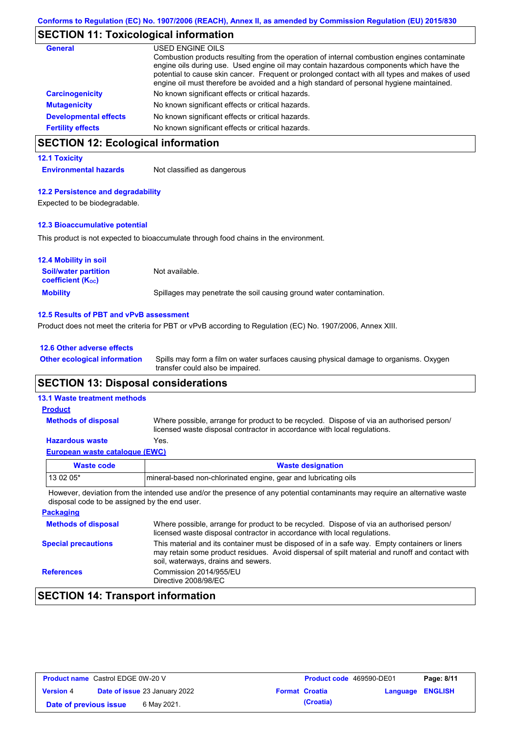# **SECTION 11: Toxicological information**

| General                      | USED ENGINE OILS<br>Combustion products resulting from the operation of internal combustion engines contaminate<br>engine oils during use. Used engine oil may contain hazardous components which have the<br>potential to cause skin cancer. Frequent or prolonged contact with all types and makes of used<br>engine oil must therefore be avoided and a high standard of personal hygiene maintained. |
|------------------------------|----------------------------------------------------------------------------------------------------------------------------------------------------------------------------------------------------------------------------------------------------------------------------------------------------------------------------------------------------------------------------------------------------------|
| <b>Carcinogenicity</b>       | No known significant effects or critical hazards.                                                                                                                                                                                                                                                                                                                                                        |
| <b>Mutagenicity</b>          | No known significant effects or critical hazards.                                                                                                                                                                                                                                                                                                                                                        |
| <b>Developmental effects</b> | No known significant effects or critical hazards.                                                                                                                                                                                                                                                                                                                                                        |
| <b>Fertility effects</b>     | No known significant effects or critical hazards.                                                                                                                                                                                                                                                                                                                                                        |

## **SECTION 12: Ecological information**

#### **12.1 Toxicity**

**Environmental hazards** Not classified as dangerous

#### **12.2 Persistence and degradability**

Expected to be biodegradable.

#### **12.3 Bioaccumulative potential**

This product is not expected to bioaccumulate through food chains in the environment.

| <b>12.4 Mobility in soil</b>                            |                                                                      |
|---------------------------------------------------------|----------------------------------------------------------------------|
| <b>Soil/water partition</b><br><b>coefficient (Koc)</b> | Not available.                                                       |
| <b>Mobility</b>                                         | Spillages may penetrate the soil causing ground water contamination. |

#### **12.5 Results of PBT and vPvB assessment**

Product does not meet the criteria for PBT or vPvB according to Regulation (EC) No. 1907/2006, Annex XIII.

| 12.6 Other adverse effects          |                        |
|-------------------------------------|------------------------|
| <b>Other ecological information</b> | Spills may form a filr |

Spills may form a film on water surfaces causing physical damage to organisms. Oxygen transfer could also be impaired.

### **SECTION 13: Disposal considerations**

#### **13.1 Waste treatment methods**

**Methods of disposal**

**Product**

Where possible, arrange for product to be recycled. Dispose of via an authorised person/ licensed waste disposal contractor in accordance with local regulations.

#### **Hazardous waste** Yes.

|--|

| Waste code                                                                                                                              | <b>Waste designation</b>                                        |  |
|-----------------------------------------------------------------------------------------------------------------------------------------|-----------------------------------------------------------------|--|
| $130205*$                                                                                                                               | mineral-based non-chlorinated engine, gear and lubricating oils |  |
| The common dealership and the barrel of the common states of the common and all contracts and common states of the common states of the |                                                                 |  |

However, deviation from the intended use and/or the presence of any potential contaminants may require an alternative waste disposal code to be assigned by the end user.

| <b>Packaging</b>           |                                                                                                                                                                                                                                         |
|----------------------------|-----------------------------------------------------------------------------------------------------------------------------------------------------------------------------------------------------------------------------------------|
| <b>Methods of disposal</b> | Where possible, arrange for product to be recycled. Dispose of via an authorised person/<br>licensed waste disposal contractor in accordance with local regulations.                                                                    |
| <b>Special precautions</b> | This material and its container must be disposed of in a safe way. Empty containers or liners<br>may retain some product residues. Avoid dispersal of spilt material and runoff and contact with<br>soil, waterways, drains and sewers. |
| <b>References</b>          | Commission 2014/955/EU<br>Directive 2008/98/EC                                                                                                                                                                                          |

## **SECTION 14: Transport information**

| <b>Product name</b> Castrol EDGE 0W-20 V |                                      | <b>Product code</b> 469590-DE01 |                       | Page: 8/11              |  |
|------------------------------------------|--------------------------------------|---------------------------------|-----------------------|-------------------------|--|
| <b>Version 4</b>                         | <b>Date of issue 23 January 2022</b> |                                 | <b>Format Croatia</b> | <b>Language ENGLISH</b> |  |
| Date of previous issue                   | 6 May 2021.                          |                                 | (Croatia)             |                         |  |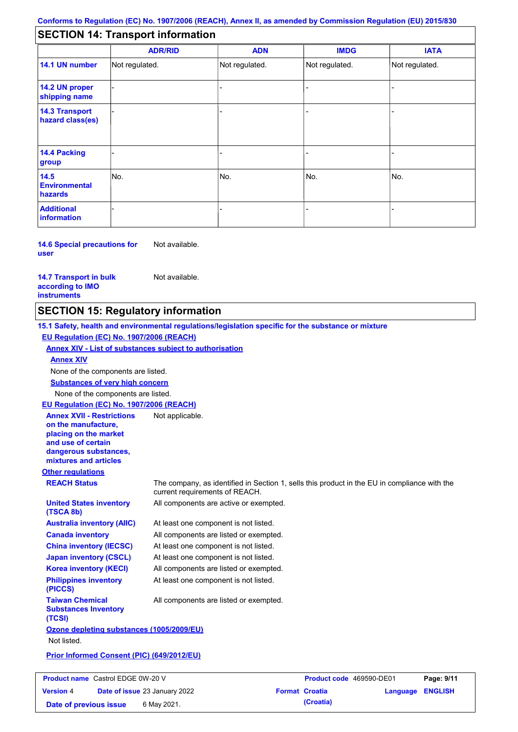## **SECTION 14: Transport information**

|                                           | <b>ADR/RID</b> | <b>ADN</b>     | <b>IMDG</b>    | <b>IATA</b>    |
|-------------------------------------------|----------------|----------------|----------------|----------------|
| 14.1 UN number                            | Not regulated. | Not regulated. | Not regulated. | Not regulated. |
| 14.2 UN proper<br>shipping name           |                |                |                |                |
| <b>14.3 Transport</b><br>hazard class(es) |                |                |                |                |
| 14.4 Packing<br>group                     |                |                |                |                |
| 14.5<br><b>Environmental</b><br>hazards   | No.            | No.            | No.            | No.            |
| <b>Additional</b><br>information          |                |                |                |                |

**14.6 Special precautions for user** Not available.

**14.7 Transport in bulk according to IMO instruments**

Not available.

### **SECTION 15: Regulatory information**

**Other regulations REACH Status** The company, as identified in Section 1, sells this product in the EU in compliance with the current requirements of REACH. **15.1 Safety, health and environmental regulations/legislation specific for the substance or mixture EU Regulation (EC) No. 1907/2006 (REACH) Annex XIV - List of substances subject to authorisation Substances of very high concern** None of the components are listed. At least one component is not listed. All components are listed or exempted. At least one component is not listed. At least one component is not listed. All components are active or exempted. All components are listed or exempted. At least one component is not listed. **United States inventory (TSCA 8b) Australia inventory (AIIC) Canada inventory China inventory (IECSC) Japan inventory (CSCL) Korea inventory (KECI) Philippines inventory (PICCS) Taiwan Chemical Substances Inventory (TCSI)** All components are listed or exempted. **Ozone depleting substances (1005/2009/EU)** Not listed. **Prior Informed Consent (PIC) (649/2012/EU)** None of the components are listed. **Annex XIV EU Regulation (EC) No. 1907/2006 (REACH) Annex XVII - Restrictions on the manufacture, placing on the market and use of certain dangerous substances, mixtures and articles** Not applicable.

| <b>Product name</b> Castrol EDGE 0W-20 V |  |                                      | <b>Product code</b> 469590-DE01 |                       | Page: 9/11              |  |
|------------------------------------------|--|--------------------------------------|---------------------------------|-----------------------|-------------------------|--|
| <b>Version 4</b>                         |  | <b>Date of issue 23 January 2022</b> |                                 | <b>Format Croatia</b> | <b>Language ENGLISH</b> |  |
| Date of previous issue                   |  | 6 May 2021.                          |                                 | (Croatia)             |                         |  |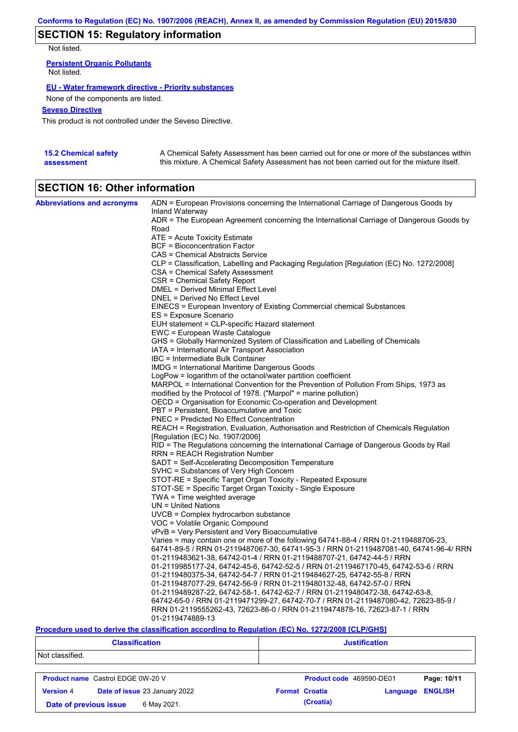# **SECTION 15: Regulatory information**

Not listed.

**Persistent Organic Pollutants** Not listed.

#### **EU - Water framework directive - Priority substances**

None of the components are listed.

#### **Seveso Directive**

This product is not controlled under the Seveso Directive.

| <b>15.2 Chemical safety</b> | A Chemical Safety Assessment has been carried out for one or more of the substances within  |
|-----------------------------|---------------------------------------------------------------------------------------------|
| assessment                  | this mixture. A Chemical Safety Assessment has not been carried out for the mixture itself. |

# **SECTION 16: Other information**

| <b>Abbreviations and acronyms</b> | ADN = European Provisions concerning the International Carriage of Dangerous Goods by<br>Inland Waterway |
|-----------------------------------|----------------------------------------------------------------------------------------------------------|
|                                   | ADR = The European Agreement concerning the International Carriage of Dangerous Goods by<br>Road         |
|                                   |                                                                                                          |
|                                   | ATE = Acute Toxicity Estimate<br>BCF = Bioconcentration Factor                                           |
|                                   | CAS = Chemical Abstracts Service                                                                         |
|                                   |                                                                                                          |
|                                   | CLP = Classification, Labelling and Packaging Regulation [Regulation (EC) No. 1272/2008]                 |
|                                   | CSA = Chemical Safety Assessment                                                                         |
|                                   | CSR = Chemical Safety Report<br>DMEL = Derived Minimal Effect Level                                      |
|                                   | DNEL = Derived No Effect Level                                                                           |
|                                   | EINECS = European Inventory of Existing Commercial chemical Substances                                   |
|                                   | ES = Exposure Scenario                                                                                   |
|                                   | EUH statement = CLP-specific Hazard statement                                                            |
|                                   | EWC = European Waste Catalogue                                                                           |
|                                   | GHS = Globally Harmonized System of Classification and Labelling of Chemicals                            |
|                                   | IATA = International Air Transport Association                                                           |
|                                   | IBC = Intermediate Bulk Container                                                                        |
|                                   | <b>IMDG</b> = International Maritime Dangerous Goods                                                     |
|                                   | LogPow = logarithm of the octanol/water partition coefficient                                            |
|                                   | MARPOL = International Convention for the Prevention of Pollution From Ships, 1973 as                    |
|                                   | modified by the Protocol of 1978. ("Marpol" = marine pollution)                                          |
|                                   | OECD = Organisation for Economic Co-operation and Development                                            |
|                                   | PBT = Persistent, Bioaccumulative and Toxic                                                              |
|                                   | <b>PNEC</b> = Predicted No Effect Concentration                                                          |
|                                   | REACH = Registration, Evaluation, Authorisation and Restriction of Chemicals Regulation                  |
|                                   | [Regulation (EC) No. 1907/2006]                                                                          |
|                                   | RID = The Regulations concerning the International Carriage of Dangerous Goods by Rail                   |
|                                   | RRN = REACH Registration Number                                                                          |
|                                   | SADT = Self-Accelerating Decomposition Temperature                                                       |
|                                   | SVHC = Substances of Very High Concern                                                                   |
|                                   | STOT-RE = Specific Target Organ Toxicity - Repeated Exposure                                             |
|                                   | STOT-SE = Specific Target Organ Toxicity - Single Exposure                                               |
|                                   | $TWA = Time$ weighted average                                                                            |
|                                   | $UN = United Nations$                                                                                    |
|                                   | UVCB = Complex hydrocarbon substance                                                                     |
|                                   | VOC = Volatile Organic Compound                                                                          |
|                                   | vPvB = Very Persistent and Very Bioaccumulative                                                          |
|                                   | Varies = may contain one or more of the following $64741-88-4$ / RRN 01-2119488706-23,                   |
|                                   | 64741-89-5 / RRN 01-2119487067-30, 64741-95-3 / RRN 01-2119487081-40, 64741-96-4/ RRN                    |
|                                   | 01-2119483621-38, 64742-01-4 / RRN 01-2119488707-21, 64742-44-5 / RRN                                    |
|                                   | 01-2119985177-24, 64742-45-6, 64742-52-5 / RRN 01-2119467170-45, 64742-53-6 / RRN                        |
|                                   | 01-2119480375-34, 64742-54-7 / RRN 01-2119484627-25, 64742-55-8 / RRN                                    |
|                                   | 01-2119487077-29, 64742-56-9 / RRN 01-2119480132-48, 64742-57-0 / RRN                                    |
|                                   | 01-2119489287-22, 64742-58-1, 64742-62-7 / RRN 01-2119480472-38, 64742-63-8,                             |
|                                   | 64742-65-0 / RRN 01-2119471299-27, 64742-70-7 / RRN 01-2119487080-42, 72623-85-9 /                       |
|                                   | RRN 01-2119555262-43, 72623-86-0 / RRN 01-2119474878-16, 72623-87-1 / RRN                                |
|                                   | 01-2119474889-13                                                                                         |

#### **Procedure used to derive the classification according to Regulation (EC) No. 1272/2008 [CLP/GHS]**

| <b>Classification</b>                             | <b>Justification</b>                                |  |  |  |
|---------------------------------------------------|-----------------------------------------------------|--|--|--|
| Not classified.                                   |                                                     |  |  |  |
| <b>Product name</b> Castrol EDGE 0W-20 V          | Page: 10/11<br>Product code 469590-DE01             |  |  |  |
| Date of issue 23 January 2022<br><b>Version 4</b> | <b>ENGLISH</b><br><b>Format Croatia</b><br>Language |  |  |  |